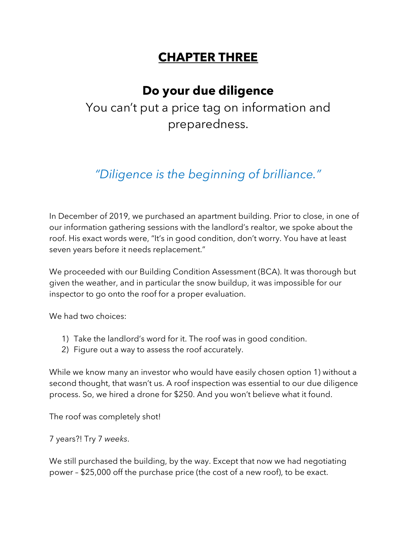# **CHAPTER THREE**

# **Do your due diligence**

You can't put a price tag on information and preparedness.

# *"Diligence is the beginning of brilliance."*

In December of 2019, we purchased an apartment building. Prior to close, in one of our information gathering sessions with the landlord's realtor, we spoke about the roof. His exact words were, "It's in good condition, don't worry. You have at least seven years before it needs replacement."

We proceeded with our Building Condition Assessment (BCA). It was thorough but given the weather, and in particular the snow buildup, it was impossible for our inspector to go onto the roof for a proper evaluation.

We had two choices:

- 1) Take the landlord's word for it. The roof was in good condition.
- 2) Figure out a way to assess the roof accurately.

While we know many an investor who would have easily chosen option 1) without a second thought, that wasn't us. A roof inspection was essential to our due diligence process. So, we hired a drone for \$250. And you won't believe what it found.

The roof was completely shot!

7 years?! Try 7 *weeks*.

We still purchased the building, by the way. Except that now we had negotiating power – \$25,000 off the purchase price (the cost of a new roof), to be exact.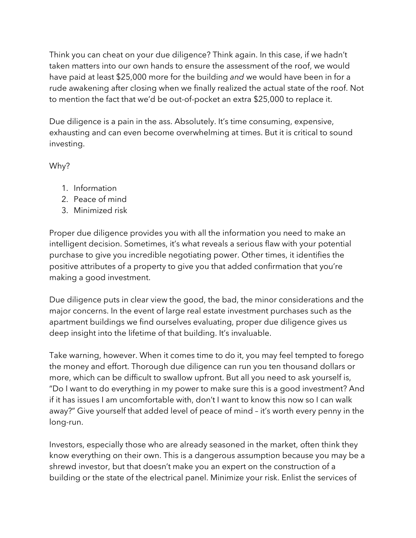Think you can cheat on your due diligence? Think again. In this case, if we hadn't taken matters into our own hands to ensure the assessment of the roof, we would have paid at least \$25,000 more for the building *and* we would have been in for a rude awakening after closing when we finally realized the actual state of the roof. Not to mention the fact that we'd be out-of-pocket an extra \$25,000 to replace it.

Due diligence is a pain in the ass. Absolutely. It's time consuming, expensive, exhausting and can even become overwhelming at times. But it is critical to sound investing.

Why?

- 1. Information
- 2. Peace of mind
- 3. Minimized risk

Proper due diligence provides you with all the information you need to make an intelligent decision. Sometimes, it's what reveals a serious flaw with your potential purchase to give you incredible negotiating power. Other times, it identifies the positive attributes of a property to give you that added confirmation that you're making a good investment.

Due diligence puts in clear view the good, the bad, the minor considerations and the major concerns. In the event of large real estate investment purchases such as the apartment buildings we find ourselves evaluating, proper due diligence gives us deep insight into the lifetime of that building. It's invaluable.

Take warning, however. When it comes time to do it, you may feel tempted to forego the money and effort. Thorough due diligence can run you ten thousand dollars or more, which can be difficult to swallow upfront. But all you need to ask yourself is, "Do I want to do everything in my power to make sure this is a good investment? And if it has issues I am uncomfortable with, don't I want to know this now so I can walk away?" Give yourself that added level of peace of mind – it's worth every penny in the long-run.

Investors, especially those who are already seasoned in the market, often think they know everything on their own. This is a dangerous assumption because you may be a shrewd investor, but that doesn't make you an expert on the construction of a building or the state of the electrical panel. Minimize your risk. Enlist the services of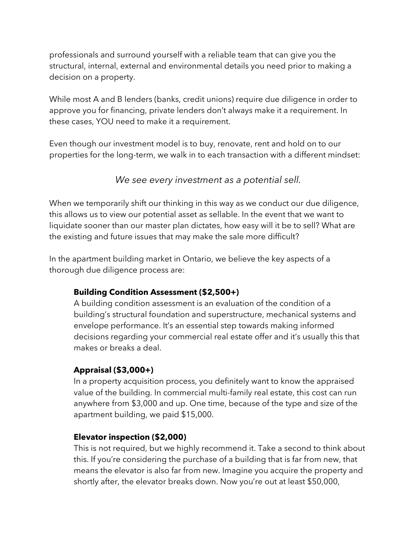professionals and surround yourself with a reliable team that can give you the structural, internal, external and environmental details you need prior to making a decision on a property.

While most A and B lenders (banks, credit unions) require due diligence in order to approve you for financing, private lenders don't always make it a requirement. In these cases, YOU need to make it a requirement.

Even though our investment model is to buy, renovate, rent and hold on to our properties for the long-term, we walk in to each transaction with a different mindset:

## *We see every investment as a potential sell.*

When we temporarily shift our thinking in this way as we conduct our due diligence, this allows us to view our potential asset as sellable. In the event that we want to liquidate sooner than our master plan dictates, how easy will it be to sell? What are the existing and future issues that may make the sale more difficult?

In the apartment building market in Ontario, we believe the key aspects of a thorough due diligence process are:

## **Building Condition Assessment (\$2,500+)**

A building condition assessment is an evaluation of the condition of a building's structural foundation and superstructure, mechanical systems and envelope performance. It's an essential step towards making informed decisions regarding your commercial real estate offer and it's usually this that makes or breaks a deal.

## **Appraisal (\$3,000+)**

In a property acquisition process, you definitely want to know the appraised value of the building. In commercial multi-family real estate, this cost can run anywhere from \$3,000 and up. One time, because of the type and size of the apartment building, we paid \$15,000.

## **Elevator inspection (\$2,000)**

This is not required, but we highly recommend it. Take a second to think about this. If you're considering the purchase of a building that is far from new, that means the elevator is also far from new. Imagine you acquire the property and shortly after, the elevator breaks down. Now you're out at least \$50,000,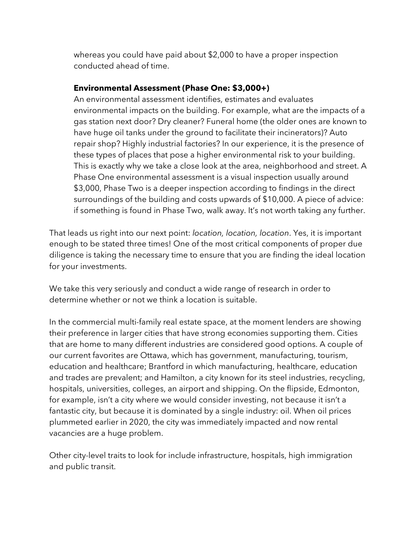whereas you could have paid about \$2,000 to have a proper inspection conducted ahead of time.

#### **Environmental Assessment (Phase One: \$3,000+)**

An environmental assessment identifies, estimates and evaluates environmental impacts on the building. For example, what are the impacts of a gas station next door? Dry cleaner? Funeral home (the older ones are known to have huge oil tanks under the ground to facilitate their incinerators)? Auto repair shop? Highly industrial factories? In our experience, it is the presence of these types of places that pose a higher environmental risk to your building. This is exactly why we take a close look at the area, neighborhood and street. A Phase One environmental assessment is a visual inspection usually around \$3,000, Phase Two is a deeper inspection according to findings in the direct surroundings of the building and costs upwards of \$10,000. A piece of advice: if something is found in Phase Two, walk away. It's not worth taking any further.

That leads us right into our next point: *location, location, location*. Yes, it is important enough to be stated three times! One of the most critical components of proper due diligence is taking the necessary time to ensure that you are finding the ideal location for your investments.

We take this very seriously and conduct a wide range of research in order to determine whether or not we think a location is suitable.

In the commercial multi-family real estate space, at the moment lenders are showing their preference in larger cities that have strong economies supporting them. Cities that are home to many different industries are considered good options. A couple of our current favorites are Ottawa, which has government, manufacturing, tourism, education and healthcare; Brantford in which manufacturing, healthcare, education and trades are prevalent; and Hamilton, a city known for its steel industries, recycling, hospitals, universities, colleges, an airport and shipping. On the flipside, Edmonton, for example, isn't a city where we would consider investing, not because it isn't a fantastic city, but because it is dominated by a single industry: oil. When oil prices plummeted earlier in 2020, the city was immediately impacted and now rental vacancies are a huge problem.

Other city-level traits to look for include infrastructure, hospitals, high immigration and public transit.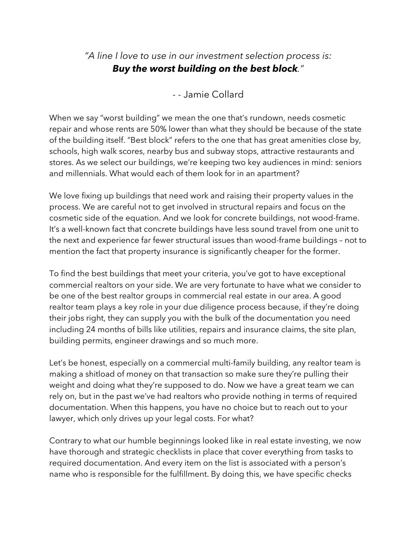## *"A line I love to use in our investment selection process is: Buy the worst building on the best block."*

## - - Jamie Collard

When we say "worst building" we mean the one that's rundown, needs cosmetic repair and whose rents are 50% lower than what they should be because of the state of the building itself. "Best block" refers to the one that has great amenities close by, schools, high walk scores, nearby bus and subway stops, attractive restaurants and stores. As we select our buildings, we're keeping two key audiences in mind: seniors and millennials. What would each of them look for in an apartment?

We love fixing up buildings that need work and raising their property values in the process. We are careful not to get involved in structural repairs and focus on the cosmetic side of the equation. And we look for concrete buildings, not wood-frame. It's a well-known fact that concrete buildings have less sound travel from one unit to the next and experience far fewer structural issues than wood-frame buildings – not to mention the fact that property insurance is significantly cheaper for the former.

To find the best buildings that meet your criteria, you've got to have exceptional commercial realtors on your side. We are very fortunate to have what we consider to be one of the best realtor groups in commercial real estate in our area. A good realtor team plays a key role in your due diligence process because, if they're doing their jobs right, they can supply you with the bulk of the documentation you need including 24 months of bills like utilities, repairs and insurance claims, the site plan, building permits, engineer drawings and so much more.

Let's be honest, especially on a commercial multi-family building, any realtor team is making a shitload of money on that transaction so make sure they're pulling their weight and doing what they're supposed to do. Now we have a great team we can rely on, but in the past we've had realtors who provide nothing in terms of required documentation. When this happens, you have no choice but to reach out to your lawyer, which only drives up your legal costs. For what?

Contrary to what our humble beginnings looked like in real estate investing, we now have thorough and strategic checklists in place that cover everything from tasks to required documentation. And every item on the list is associated with a person's name who is responsible for the fulfillment. By doing this, we have specific checks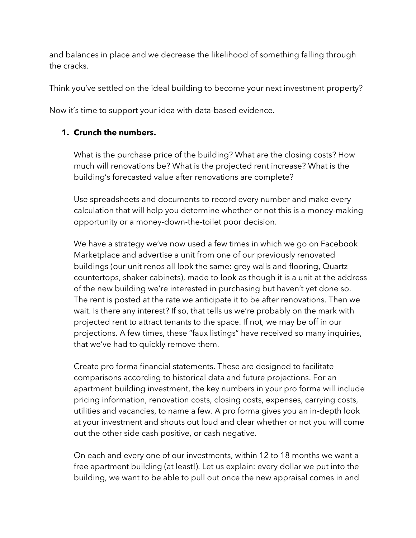and balances in place and we decrease the likelihood of something falling through the cracks.

Think you've settled on the ideal building to become your next investment property?

Now it's time to support your idea with data-based evidence.

## **1. Crunch the numbers.**

What is the purchase price of the building? What are the closing costs? How much will renovations be? What is the projected rent increase? What is the building's forecasted value after renovations are complete?

Use spreadsheets and documents to record every number and make every calculation that will help you determine whether or not this is a money-making opportunity or a money-down-the-toilet poor decision.

We have a strategy we've now used a few times in which we go on Facebook Marketplace and advertise a unit from one of our previously renovated buildings (our unit renos all look the same: grey walls and flooring, Quartz countertops, shaker cabinets), made to look as though it is a unit at the address of the new building we're interested in purchasing but haven't yet done so. The rent is posted at the rate we anticipate it to be after renovations. Then we wait. Is there any interest? If so, that tells us we're probably on the mark with projected rent to attract tenants to the space. If not, we may be off in our projections. A few times, these "faux listings" have received so many inquiries, that we've had to quickly remove them.

Create pro forma financial statements. These are designed to facilitate comparisons according to historical data and future projections. For an apartment building investment, the key numbers in your pro forma will include pricing information, renovation costs, closing costs, expenses, carrying costs, utilities and vacancies, to name a few. A pro forma gives you an in-depth look at your investment and shouts out loud and clear whether or not you will come out the other side cash positive, or cash negative.

On each and every one of our investments, within 12 to 18 months we want a free apartment building (at least!). Let us explain: every dollar we put into the building, we want to be able to pull out once the new appraisal comes in and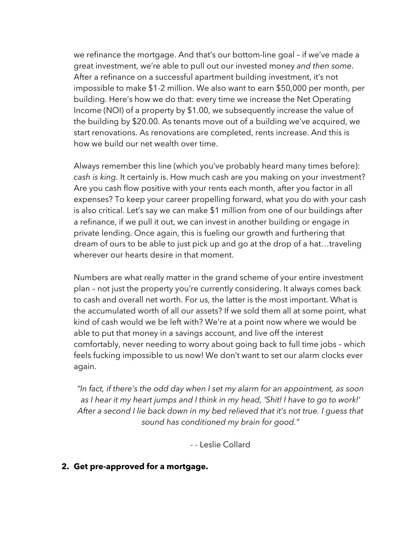we refinance the mortgage. And that's our bottom-line goal – if we've made a great investment, we're able to pull out our invested money *and then some*. After a refinance on a successful apartment building investment, it's not impossible to make \$1-2 million. We also want to earn \$50,000 per month, per building. Here's how we do that: every time we increase the Net Operating Income (NOI) of a property by \$1.00, we subsequently increase the value of the building by \$20.00. As tenants move out of a building we've acquired, we start renovations. As renovations are completed, rents increase. And this is how we build our net wealth over time.

Always remember this line (which you've probably heard many times before): *cash is king.* It certainly is. How much cash are you making on your investment? Are you cash flow positive with your rents each month, after you factor in all expenses? To keep your career propelling forward, what you do with your cash is also critical. Let's say we can make \$1 million from one of our buildings after a refinance, if we pull it out, we can invest in another building or engage in private lending. Once again, this is fueling our growth and furthering that dream of ours to be able to just pick up and go at the drop of a hat…traveling wherever our hearts desire in that moment.

Numbers are what really matter in the grand scheme of your entire investment plan – not just the property you're currently considering. It always comes back to cash and overall net worth. For us, the latter is the most important. What is the accumulated worth of all our assets? If we sold them all at some point, what kind of cash would we be left with? We're at a point now where we would be able to put that money in a savings account, and live off the interest comfortably, never needing to worry about going back to full time jobs – which feels fucking impossible to us now! We don't want to set our alarm clocks ever again.

*"In fact, if there's the odd day when I set my alarm for an appointment, as soon as I hear it my heart jumps and I think in my head, 'Shit! I have to go to work!' After a second I lie back down in my bed relieved that it's not true. I guess that sound has conditioned my brain for good."*

- - Leslie Collard

#### **2. Get pre-approved for a mortgage.**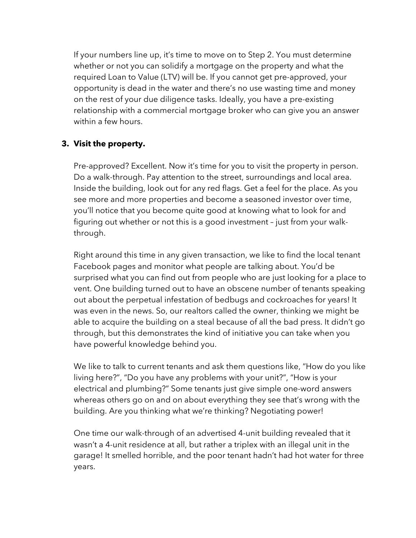If your numbers line up, it's time to move on to Step 2. You must determine whether or not you can solidify a mortgage on the property and what the required Loan to Value (LTV) will be. If you cannot get pre-approved, your opportunity is dead in the water and there's no use wasting time and money on the rest of your due diligence tasks. Ideally, you have a pre-existing relationship with a commercial mortgage broker who can give you an answer within a few hours.

## **3. Visit the property.**

Pre-approved? Excellent. Now it's time for you to visit the property in person. Do a walk-through. Pay attention to the street, surroundings and local area. Inside the building, look out for any red flags. Get a feel for the place. As you see more and more properties and become a seasoned investor over time, you'll notice that you become quite good at knowing what to look for and figuring out whether or not this is a good investment – just from your walkthrough.

Right around this time in any given transaction, we like to find the local tenant Facebook pages and monitor what people are talking about. You'd be surprised what you can find out from people who are just looking for a place to vent. One building turned out to have an obscene number of tenants speaking out about the perpetual infestation of bedbugs and cockroaches for years! It was even in the news. So, our realtors called the owner, thinking we might be able to acquire the building on a steal because of all the bad press. It didn't go through, but this demonstrates the kind of initiative you can take when you have powerful knowledge behind you.

We like to talk to current tenants and ask them questions like, "How do you like living here?", "Do you have any problems with your unit?", "How is your electrical and plumbing?" Some tenants just give simple one-word answers whereas others go on and on about everything they see that's wrong with the building. Are you thinking what we're thinking? Negotiating power!

One time our walk-through of an advertised 4-unit building revealed that it wasn't a 4-unit residence at all, but rather a triplex with an illegal unit in the garage! It smelled horrible, and the poor tenant hadn't had hot water for three years.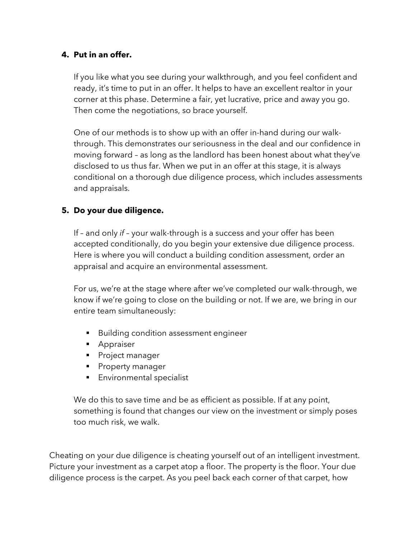## **4. Put in an offer.**

If you like what you see during your walkthrough, and you feel confident and ready, it's time to put in an offer. It helps to have an excellent realtor in your corner at this phase. Determine a fair, yet lucrative, price and away you go. Then come the negotiations, so brace yourself.

One of our methods is to show up with an offer in-hand during our walkthrough. This demonstrates our seriousness in the deal and our confidence in moving forward – as long as the landlord has been honest about what they've disclosed to us thus far. When we put in an offer at this stage, it is always conditional on a thorough due diligence process, which includes assessments and appraisals.

## **5. Do your due diligence.**

If – and only *if* – your walk-through is a success and your offer has been accepted conditionally, do you begin your extensive due diligence process. Here is where you will conduct a building condition assessment, order an appraisal and acquire an environmental assessment.

For us, we're at the stage where after we've completed our walk-through, we know if we're going to close on the building or not. If we are, we bring in our entire team simultaneously:

- Building condition assessment engineer
- Appraiser
- Project manager
- Property manager
- Environmental specialist

We do this to save time and be as efficient as possible. If at any point, something is found that changes our view on the investment or simply poses too much risk, we walk.

Cheating on your due diligence is cheating yourself out of an intelligent investment. Picture your investment as a carpet atop a floor. The property is the floor. Your due diligence process is the carpet. As you peel back each corner of that carpet, how